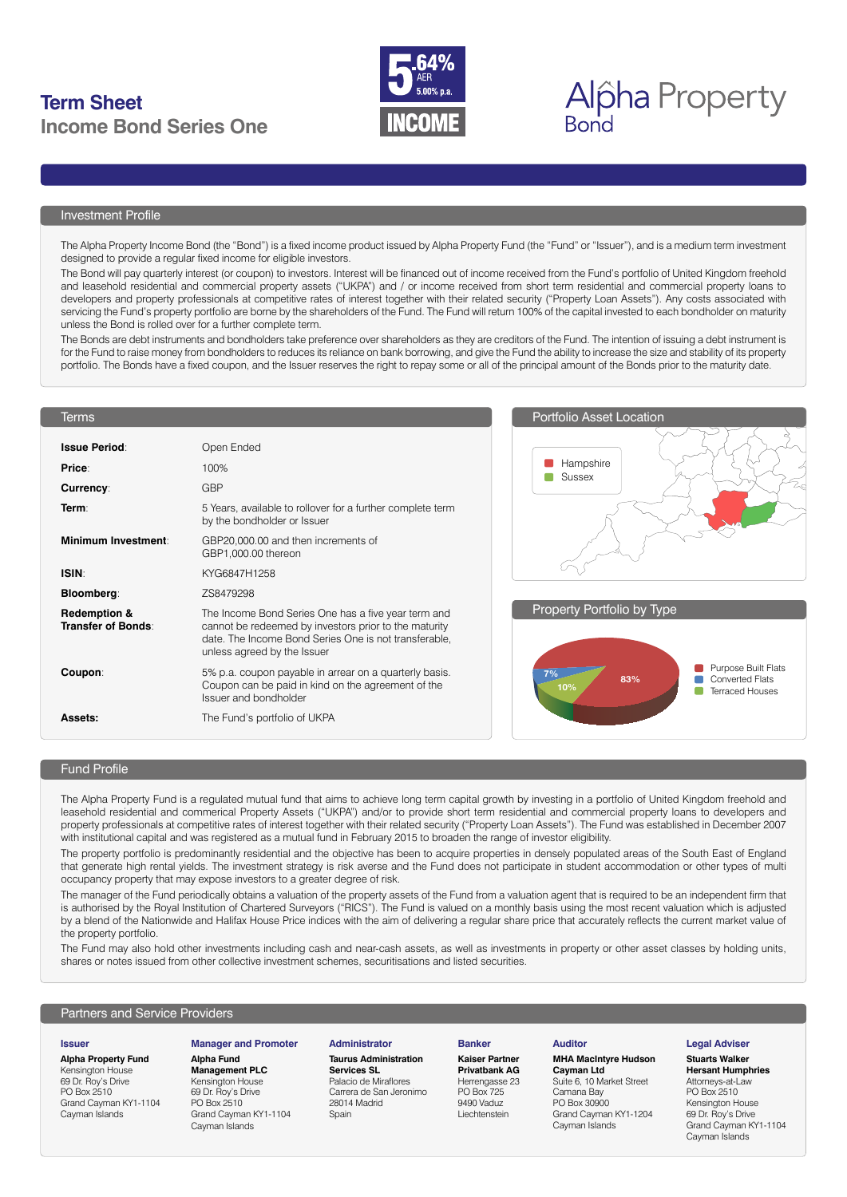## **Term Sheet**  $\sum_{5.00\% \text{ p.a.}}$   $\sum$ **Income Bond Series One**



# **Bond**

#### Investment Profile

The Alpha Property Income Bond (the "Bond") is a fixed income product issued by Alpha Property Fund (the "Fund" or "Issuer"), and is a medium term investment designed to provide a regular fixed income for eligible investors.

The Bond will pay quarterly interest (or coupon) to investors. Interest will be financed out of income received from the Fund's portfolio of United Kingdom freehold and leasehold residential and commercial property assets ("UKPA") and / or income received from short term residential and commercial property loans to developers and property professionals at competitive rates of interest together with their related security ("Property Loan Assets"). Any costs associated with servicing the Fund's property portfolio are borne by the shareholders of the Fund. The Fund will return 100% of the capital invested to each bondholder on maturity unless the Bond is rolled over for a further complete term.

The Bonds are debt instruments and bondholders take preference over shareholders as they are creditors of the Fund. The intention of issuing a debt instrument is for the Fund to raise money from bondholders to reduces its reliance on bank borrowing, and give the Fund the ability to increase the size and stability of its property portfolio. The Bonds have a fixed coupon, and the Issuer reserves the right to repay some or all of the principal amount of the Bonds prior to the maturity date.

#### **Terms**

| <b>Issue Period:</b>                         | Open Ended                                                                                                                                                                                           |
|----------------------------------------------|------------------------------------------------------------------------------------------------------------------------------------------------------------------------------------------------------|
| Price:                                       | 100%                                                                                                                                                                                                 |
| <b>Currency:</b>                             | GBP                                                                                                                                                                                                  |
| Term <sup>.</sup>                            | 5 Years, available to rollover for a further complete term<br>by the bondholder or Issuer                                                                                                            |
| Minimum Investment                           | GBP20,000.00 and then increments of<br>GBP1,000.00 thereon                                                                                                                                           |
| <b>ISIN</b>                                  | KYG6847H1258                                                                                                                                                                                         |
| <b>Bloomberg:</b>                            | ZS8479298                                                                                                                                                                                            |
| <b>Redemption &amp;</b><br>Transfer of Bonds | The Income Bond Series One has a five year term and<br>cannot be redeemed by investors prior to the maturity<br>date. The Income Bond Series One is not transferable,<br>unless agreed by the Issuer |
| Coupon:                                      | 5% p.a. coupon payable in arrear on a quarterly basis.<br>Coupon can be paid in kind on the agreement of the<br>Issuer and bondholder                                                                |
| <b>Assets:</b>                               | The Fund's portfolio of UKPA                                                                                                                                                                         |





#### Fund Profile

The Alpha Property Fund is a regulated mutual fund that aims to achieve long term capital growth by investing in a portfolio of United Kingdom freehold and leasehold residential and commerical Property Assets ("UKPA") and/or to provide short term residential and commercial property loans to developers and property professionals at competitive rates of interest together with their related security ("Property Loan Assets"). The Fund was established in December 2007 with institutional capital and was registered as a mutual fund in February 2015 to broaden the range of investor eligibility.

The property portfolio is predominantly residential and the objective has been to acquire properties in densely populated areas of the South East of England that generate high rental yields. The investment strategy is risk averse and the Fund does not participate in student accommodation or other types of multi occupancy property that may expose investors to a greater degree of risk.

The manager of the Fund periodically obtains a valuation of the property assets of the Fund from a valuation agent that is required to be an independent firm that is authorised by the Royal Institution of Chartered Surveyors ("RICS"). The Fund is valued on a monthly basis using the most recent valuation which is adjusted by a blend of the Nationwide and Halifax House Price indices with the aim of delivering a regular share price that accurately reflects the current market value of the property portfolio.

The Fund may also hold other investments including cash and near-cash assets, as well as investments in property or other asset classes by holding units, shares or notes issued from other collective investment schemes, securitisations and listed securities.

#### Partners and Service Providers

#### **Issuer**

**Alpha Property Fund**

Kensington House 69 Dr. Roy's Drive PO Box 2510 Grand Cayman KY1-1104 Cayman Islands

### **Manager and Promoter**

**Alpha Fund Management PLC** Kensington House 69 Dr. Roy's Drive PO Box 2510 Grand Cayman KY1-1104 Cayman Islands

#### **Administrator**

**Taurus Administration Services SL**  Palacio de Miraflores Carrera de San Jeronimo 28014 Madrid **Spain** 

#### **Banker**

**Kaiser Partner Privatbank AG** Herrengasse 23 PO Box 725 9490 Vaduz Liechtenstein

#### **Auditor**

### **MHA MacIntyre Hudson**

**Cayman Ltd** Suite 6, 10 Market Street Camana Bay PO Box 30900 Grand Cayman KY1-1204 Cayman Islands

#### **Legal Adviser**

#### **Stuarts Walker Hersant Humphries**

Attorneys-at-Law PO Box 2510 Kensington House 69 Dr. Roy's Drive Grand Cayman KY1-1104 Cayman Islands